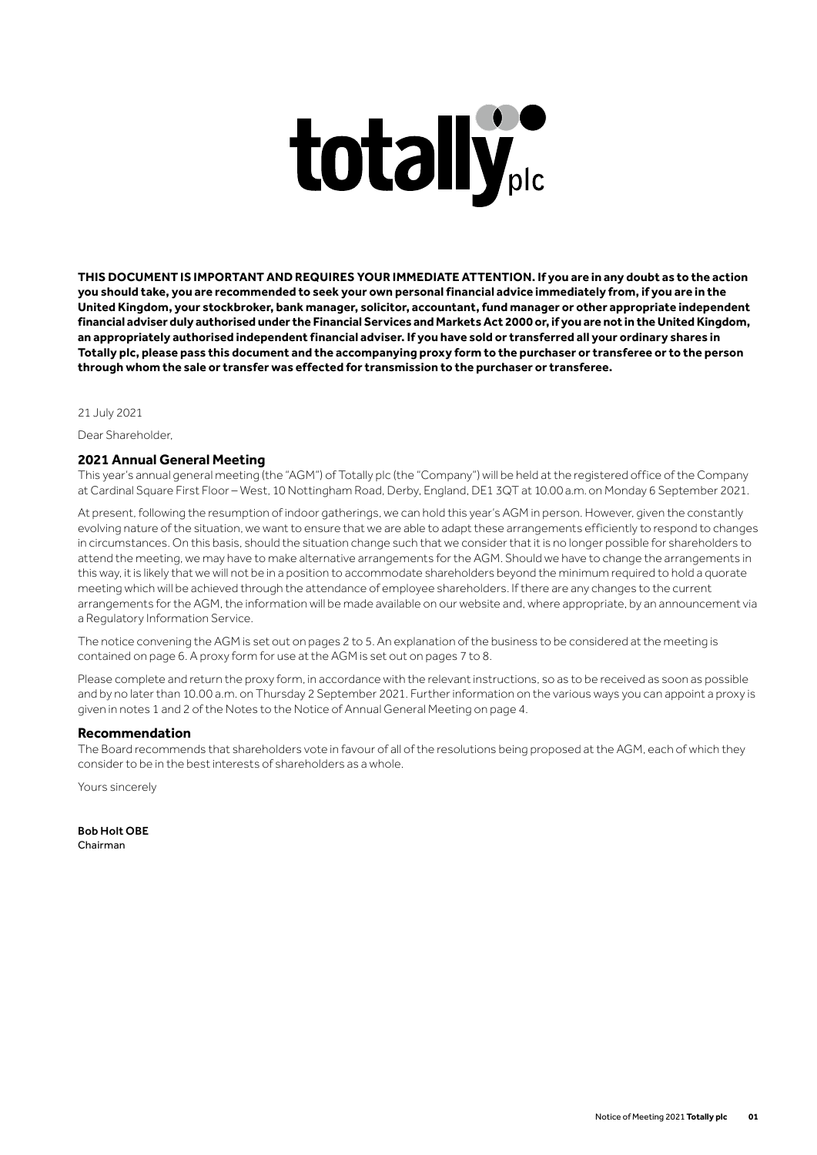# totally

**THIS DOCUMENT IS IMPORTANT AND REQUIRES YOUR IMMEDIATE ATTENTION. If you are in any doubt as to the action you should take, you are recommended to seek your own personal financial advice immediately from, if you are in the United Kingdom, your stockbroker, bank manager, solicitor, accountant, fund manager or other appropriate independent financial adviser duly authorised under the Financial Services and Markets Act 2000 or, if you are not in the United Kingdom, an appropriately authorised independent financial adviser. If you have sold or transferred all your ordinary shares in Totally plc, please pass this document and the accompanying proxy form to the purchaser or transferee or to the person through whom the sale or transfer was effected for transmission to the purchaser or transferee.**

21 July 2021

Dear Shareholder,

## **2021 Annual General Meeting**

This year's annual general meeting (the "AGM") of Totally plc (the "Company") will be held at the registered office of the Company at Cardinal Square First Floor – West, 10 Nottingham Road, Derby, England, DE1 3QT at 10.00 a.m. on Monday 6 September 2021.

At present, following the resumption of indoor gatherings, we can hold this year's AGM in person. However, given the constantly evolving nature of the situation, we want to ensure that we are able to adapt these arrangements efficiently to respond to changes in circumstances. On this basis, should the situation change such that we consider that it is no longer possible for shareholders to attend the meeting, we may have to make alternative arrangements for the AGM. Should we have to change the arrangements in this way, it is likely that we will not be in a position to accommodate shareholders beyond the minimum required to hold a quorate meeting which will be achieved through the attendance of employee shareholders. If there are any changes to the current arrangements for the AGM, the information will be made available on our website and, where appropriate, by an announcement via a Regulatory Information Service.

The notice convening the AGM is set out on pages 2 to 5. An explanation of the business to be considered at the meeting is contained on page 6. A proxy form for use at the AGM is set out on pages 7 to 8.

Please complete and return the proxy form, in accordance with the relevant instructions, so as to be received as soon as possible and by no later than 10.00 a.m. on Thursday 2 September 2021. Further information on the various ways you can appoint a proxy is given in notes 1 and 2 of the Notes to the Notice of Annual General Meeting on page 4.

#### **Recommendation**

The Board recommends that shareholders vote in favour of all of the resolutions being proposed at the AGM, each of which they consider to be in the best interests of shareholders as a whole.

Yours sincerely

Bob Holt OBE Chairman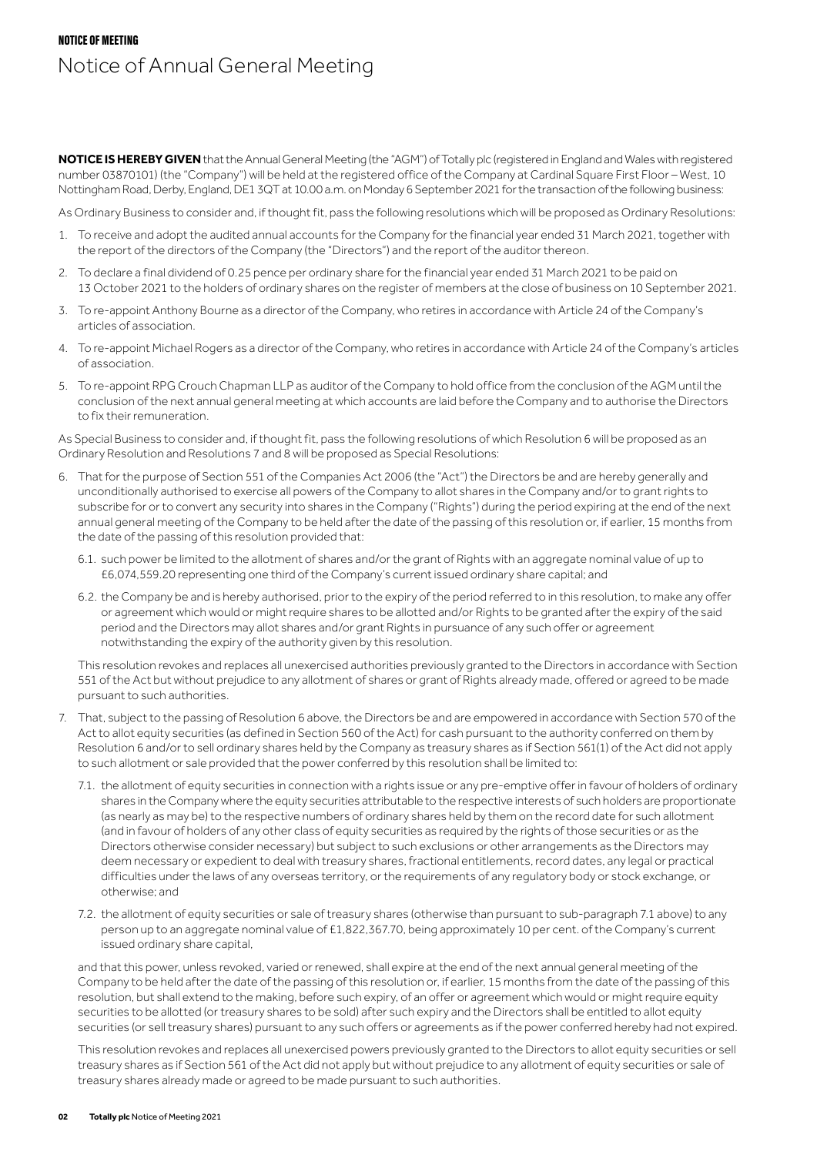# NOTICE OF MEETING Notice of Annual General Meeting

**NOTICE IS HEREBY GIVEN** that the Annual General Meeting (the "AGM") of Totally plc (registered in England and Wales with registered number 03870101) (the "Company") will be held at the registered office of the Company at Cardinal Square First Floor – West, 10 Nottingham Road, Derby, England, DE1 3QT at 10.00 a.m. on Monday 6 September 2021 for the transaction of the following business:

As Ordinary Business to consider and, if thought fit, pass the following resolutions which will be proposed as Ordinary Resolutions:

- 1. To receive and adopt the audited annual accounts for the Company for the financial year ended 31 March 2021, together with the report of the directors of the Company (the "Directors") and the report of the auditor thereon.
- 2. To declare a final dividend of 0.25 pence per ordinary share for the financial year ended 31 March 2021 to be paid on 13 October 2021 to the holders of ordinary shares on the register of members at the close of business on 10 September 2021.
- 3. To re-appoint Anthony Bourne as a director of the Company, who retires in accordance with Article 24 of the Company's articles of association.
- 4. To re-appoint Michael Rogers as a director of the Company, who retires in accordance with Article 24 of the Company's articles of association.
- 5. To re-appoint RPG Crouch Chapman LLP as auditor of the Company to hold office from the conclusion of the AGM until the conclusion of the next annual general meeting at which accounts are laid before the Company and to authorise the Directors to fix their remuneration.

As Special Business to consider and, if thought fit, pass the following resolutions of which Resolution 6 will be proposed as an Ordinary Resolution and Resolutions 7 and 8 will be proposed as Special Resolutions:

- 6. That for the purpose of Section 551 of the Companies Act 2006 (the "Act") the Directors be and are hereby generally and unconditionally authorised to exercise all powers of the Company to allot shares in the Company and/or to grant rights to subscribe for or to convert any security into shares in the Company ("Rights") during the period expiring at the end of the next annual general meeting of the Company to be held after the date of the passing of this resolution or, if earlier, 15 months from the date of the passing of this resolution provided that:
	- 6.1. such power be limited to the allotment of shares and/or the grant of Rights with an aggregate nominal value of up to £6,074,559.20 representing one third of the Company's current issued ordinary share capital; and
	- 6.2. the Company be and is hereby authorised, prior to the expiry of the period referred to in this resolution, to make any offer or agreement which would or might require shares to be allotted and/or Rights to be granted after the expiry of the said period and the Directors may allot shares and/or grant Rights in pursuance of any such offer or agreement notwithstanding the expiry of the authority given by this resolution.

 This resolution revokes and replaces all unexercised authorities previously granted to the Directors in accordance with Section 551 of the Act but without prejudice to any allotment of shares or grant of Rights already made, offered or agreed to be made pursuant to such authorities.

- 7. That, subject to the passing of Resolution 6 above, the Directors be and are empowered in accordance with Section 570 of the Act to allot equity securities (as defined in Section 560 of the Act) for cash pursuant to the authority conferred on them by Resolution 6 and/or to sell ordinary shares held by the Company as treasury shares as if Section 561(1) of the Act did not apply to such allotment or sale provided that the power conferred by this resolution shall be limited to:
	- 7.1. the allotment of equity securities in connection with a rights issue or any pre-emptive offer in favour of holders of ordinary shares in the Company where the equity securities attributable to the respective interests of such holders are proportionate (as nearly as may be) to the respective numbers of ordinary shares held by them on the record date for such allotment (and in favour of holders of any other class of equity securities as required by the rights of those securities or as the Directors otherwise consider necessary) but subject to such exclusions or other arrangements as the Directors may deem necessary or expedient to deal with treasury shares, fractional entitlements, record dates, any legal or practical difficulties under the laws of any overseas territory, or the requirements of any regulatory body or stock exchange, or otherwise; and
	- 7.2. the allotment of equity securities or sale of treasury shares (otherwise than pursuant to sub-paragraph 7.1 above) to any person up to an aggregate nominal value of £1,822,367.70, being approximately 10 per cent. of the Company's current issued ordinary share capital,

 and that this power, unless revoked, varied or renewed, shall expire at the end of the next annual general meeting of the Company to be held after the date of the passing of this resolution or, if earlier, 15 months from the date of the passing of this resolution, but shall extend to the making, before such expiry, of an offer or agreement which would or might require equity securities to be allotted (or treasury shares to be sold) after such expiry and the Directors shall be entitled to allot equity securities (or sell treasury shares) pursuant to any such offers or agreements as if the power conferred hereby had not expired.

 This resolution revokes and replaces all unexercised powers previously granted to the Directors to allot equity securities or sell treasury shares as if Section 561 of the Act did not apply but without prejudice to any allotment of equity securities or sale of treasury shares already made or agreed to be made pursuant to such authorities.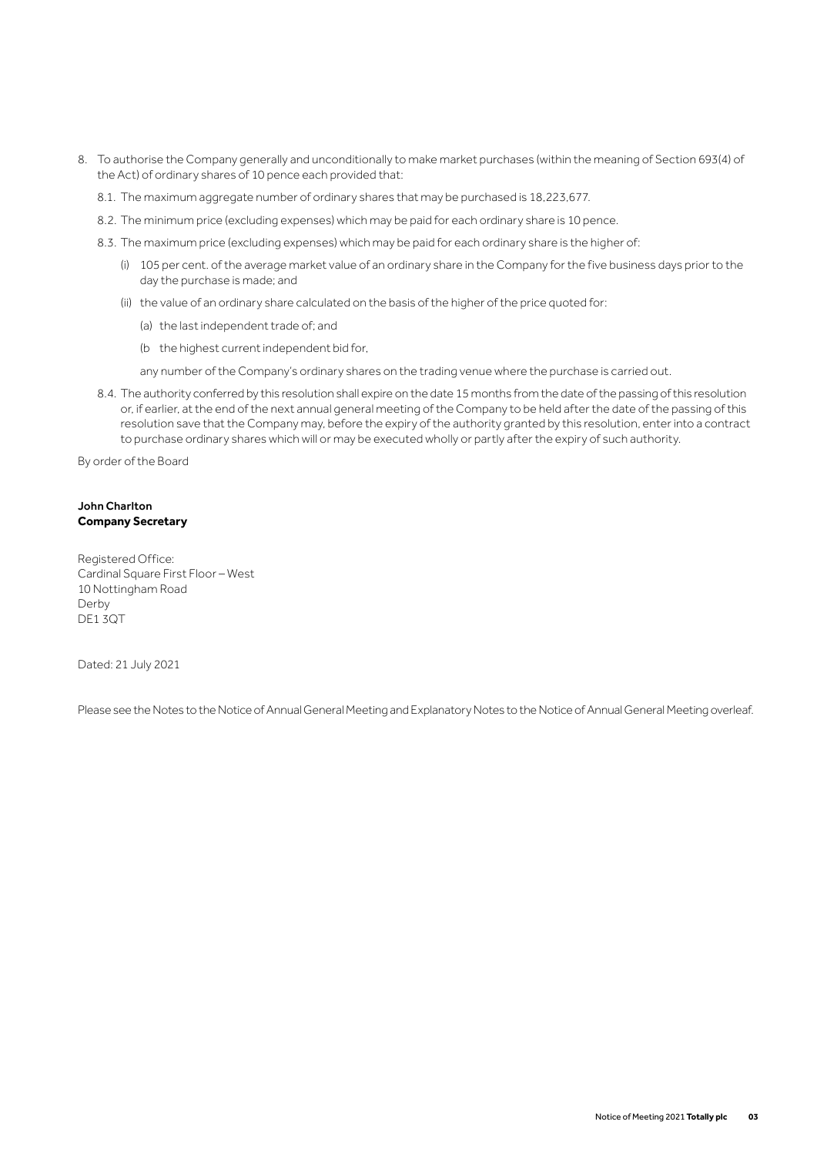- 8. To authorise the Company generally and unconditionally to make market purchases (within the meaning of Section 693(4) of the Act) of ordinary shares of 10 pence each provided that:
	- 8.1. The maximum aggregate number of ordinary shares that may be purchased is 18,223,677.
	- 8.2. The minimum price (excluding expenses) which may be paid for each ordinary share is 10 pence.
	- 8.3. The maximum price (excluding expenses) which may be paid for each ordinary share is the higher of:
		- (i) 105 per cent. of the average market value of an ordinary share in the Company for the five business days prior to the day the purchase is made; and
		- (ii) the value of an ordinary share calculated on the basis of the higher of the price quoted for:
			- (a) the last independent trade of; and
			- (b the highest current independent bid for,
			- any number of the Company's ordinary shares on the trading venue where the purchase is carried out.
	- 8.4. The authority conferred by this resolution shall expire on the date 15 months from the date of the passing of this resolution or, if earlier, at the end of the next annual general meeting of the Company to be held after the date of the passing of this resolution save that the Company may, before the expiry of the authority granted by this resolution, enter into a contract to purchase ordinary shares which will or may be executed wholly or partly after the expiry of such authority.

By order of the Board

### John Charlton **Company Secretary**

Registered Office: Cardinal Square First Floor – West 10 Nottingham Road Derby DE1 3QT

Dated: 21 July 2021

Please see the Notes to the Notice of Annual General Meeting and Explanatory Notes to the Notice of Annual General Meeting overleaf.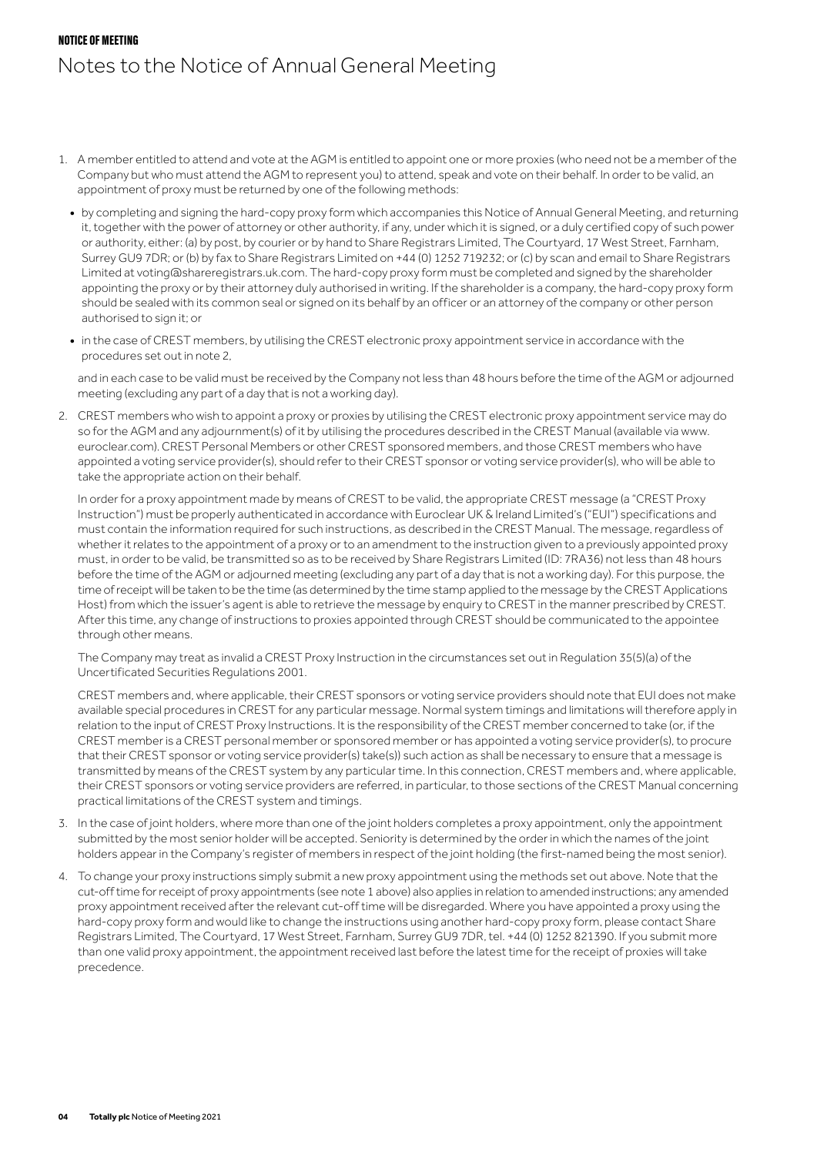## NOTICE OF MEETING Notes to the Notice of Annual General Meeting

- 1. A member entitled to attend and vote at the AGM is entitled to appoint one or more proxies (who need not be a member of the Company but who must attend the AGM to represent you) to attend, speak and vote on their behalf. In order to be valid, an appointment of proxy must be returned by one of the following methods:
	- **•** by completing and signing the hard-copy proxy form which accompanies this Notice of Annual General Meeting, and returning it, together with the power of attorney or other authority, if any, under which it is signed, or a duly certified copy of such power or authority, either: (a) by post, by courier or by hand to Share Registrars Limited, The Courtyard, 17 West Street, Farnham, Surrey GU9 7DR; or (b) by fax to Share Registrars Limited on +44 (0) 1252 719232; or (c) by scan and email to Share Registrars Limited at voting@shareregistrars.uk.com. The hard-copy proxy form must be completed and signed by the shareholder appointing the proxy or by their attorney duly authorised in writing. If the shareholder is a company, the hard-copy proxy form should be sealed with its common seal or signed on its behalf by an officer or an attorney of the company or other person authorised to sign it; or
	- **•** in the case of CREST members, by utilising the CREST electronic proxy appointment service in accordance with the procedures set out in note 2,

 and in each case to be valid must be received by the Company not less than 48 hours before the time of the AGM or adjourned meeting (excluding any part of a day that is not a working day).

2. CREST members who wish to appoint a proxy or proxies by utilising the CREST electronic proxy appointment service may do so for the AGM and any adjournment(s) of it by utilising the procedures described in the CREST Manual (available via www. euroclear.com). CREST Personal Members or other CREST sponsored members, and those CREST members who have appointed a voting service provider(s), should refer to their CREST sponsor or voting service provider(s), who will be able to take the appropriate action on their behalf.

 In order for a proxy appointment made by means of CREST to be valid, the appropriate CREST message (a "CREST Proxy Instruction") must be properly authenticated in accordance with Euroclear UK & Ireland Limited's ("EUI") specifications and must contain the information required for such instructions, as described in the CREST Manual. The message, regardless of whether it relates to the appointment of a proxy or to an amendment to the instruction given to a previously appointed proxy must, in order to be valid, be transmitted so as to be received by Share Registrars Limited (ID: 7RA36) not less than 48 hours before the time of the AGM or adjourned meeting (excluding any part of a day that is not a working day). For this purpose, the time of receipt will be taken to be the time (as determined by the time stamp applied to the message by the CREST Applications Host) from which the issuer's agent is able to retrieve the message by enquiry to CREST in the manner prescribed by CREST. After this time, any change of instructions to proxies appointed through CREST should be communicated to the appointee through other means.

 The Company may treat as invalid a CREST Proxy Instruction in the circumstances set out in Regulation 35(5)(a) of the Uncertificated Securities Regulations 2001.

 CREST members and, where applicable, their CREST sponsors or voting service providers should note that EUI does not make available special procedures in CREST for any particular message. Normal system timings and limitations will therefore apply in relation to the input of CREST Proxy Instructions. It is the responsibility of the CREST member concerned to take (or, if the CREST member is a CREST personal member or sponsored member or has appointed a voting service provider(s), to procure that their CREST sponsor or voting service provider(s) take(s)) such action as shall be necessary to ensure that a message is transmitted by means of the CREST system by any particular time. In this connection, CREST members and, where applicable, their CREST sponsors or voting service providers are referred, in particular, to those sections of the CREST Manual concerning practical limitations of the CREST system and timings.

- 3. In the case of joint holders, where more than one of the joint holders completes a proxy appointment, only the appointment submitted by the most senior holder will be accepted. Seniority is determined by the order in which the names of the joint holders appear in the Company's register of members in respect of the joint holding (the first-named being the most senior).
- 4. To change your proxy instructions simply submit a new proxy appointment using the methods set out above. Note that the cut-off time for receipt of proxy appointments (see note 1 above) also applies in relation to amended instructions; any amended proxy appointment received after the relevant cut-off time will be disregarded. Where you have appointed a proxy using the hard-copy proxy form and would like to change the instructions using another hard-copy proxy form, please contact Share Registrars Limited, The Courtyard, 17 West Street, Farnham, Surrey GU9 7DR, tel. +44 (0) 1252 821390. If you submit more than one valid proxy appointment, the appointment received last before the latest time for the receipt of proxies will take precedence.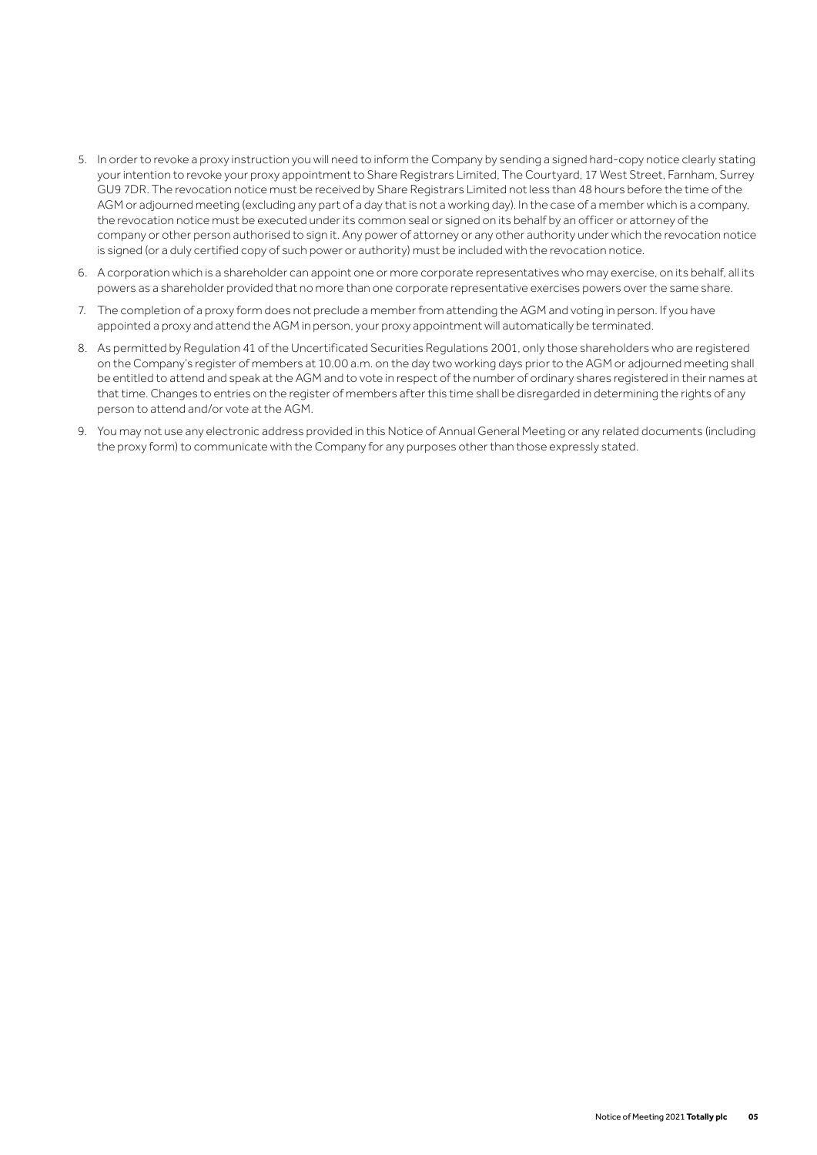- 5. In order to revoke a proxy instruction you will need to inform the Company by sending a signed hard-copy notice clearly stating your intention to revoke your proxy appointment to Share Registrars Limited, The Courtyard, 17 West Street, Farnham, Surrey GU9 7DR. The revocation notice must be received by Share Registrars Limited not less than 48 hours before the time of the AGM or adjourned meeting (excluding any part of a day that is not a working day). In the case of a member which is a company, the revocation notice must be executed under its common seal or signed on its behalf by an officer or attorney of the company or other person authorised to sign it. Any power of attorney or any other authority under which the revocation notice is signed (or a duly certified copy of such power or authority) must be included with the revocation notice.
- 6. A corporation which is a shareholder can appoint one or more corporate representatives who may exercise, on its behalf, all its powers as a shareholder provided that no more than one corporate representative exercises powers over the same share.
- 7. The completion of a proxy form does not preclude a member from attending the AGM and voting in person. If you have appointed a proxy and attend the AGM in person, your proxy appointment will automatically be terminated.
- 8. As permitted by Regulation 41 of the Uncertificated Securities Regulations 2001, only those shareholders who are registered on the Company's register of members at 10.00 a.m. on the day two working days prior to the AGM or adjourned meeting shall be entitled to attend and speak at the AGM and to vote in respect of the number of ordinary shares registered in their names at that time. Changes to entries on the register of members after this time shall be disregarded in determining the rights of any person to attend and/or vote at the AGM.
- 9. You may not use any electronic address provided in this Notice of Annual General Meeting or any related documents (including the proxy form) to communicate with the Company for any purposes other than those expressly stated.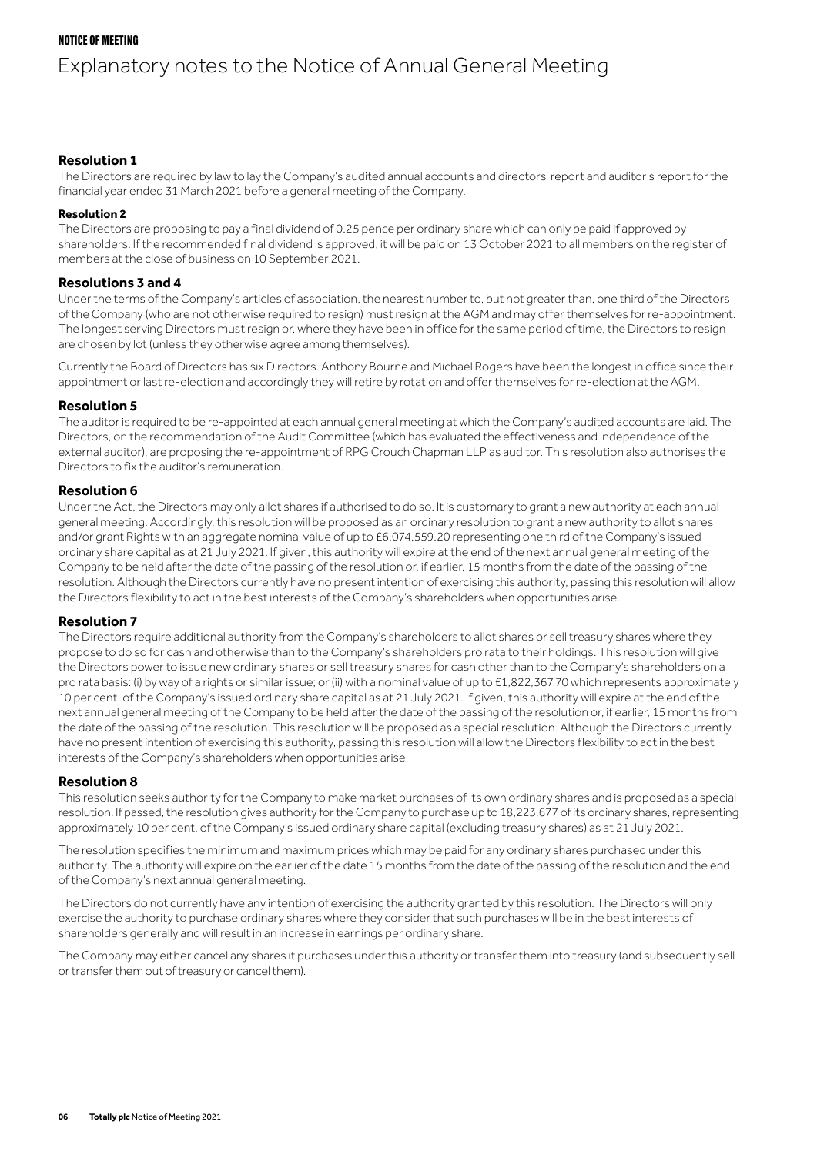## NOTICE OF MEETING

# Explanatory notes to the Notice of Annual General Meeting

#### **Resolution 1**

The Directors are required by law to lay the Company's audited annual accounts and directors' report and auditor's report for the financial year ended 31 March 2021 before a general meeting of the Company.

#### **Resolution 2**

The Directors are proposing to pay a final dividend of 0.25 pence per ordinary share which can only be paid if approved by shareholders. If the recommended final dividend is approved, it will be paid on 13 October 2021 to all members on the register of members at the close of business on 10 September 2021.

#### **Resolutions 3 and 4**

Under the terms of the Company's articles of association, the nearest number to, but not greater than, one third of the Directors of the Company (who are not otherwise required to resign) must resign at the AGM and may offer themselves for re-appointment. The longest serving Directors must resign or, where they have been in office for the same period of time, the Directors to resign are chosen by lot (unless they otherwise agree among themselves).

Currently the Board of Directors has six Directors. Anthony Bourne and Michael Rogers have been the longest in office since their appointment or last re-election and accordingly they will retire by rotation and offer themselves for re-election at the AGM.

#### **Resolution 5**

The auditor is required to be re-appointed at each annual general meeting at which the Company's audited accounts are laid. The Directors, on the recommendation of the Audit Committee (which has evaluated the effectiveness and independence of the external auditor), are proposing the re-appointment of RPG Crouch Chapman LLP as auditor. This resolution also authorises the Directors to fix the auditor's remuneration.

#### **Resolution 6**

Under the Act, the Directors may only allot shares if authorised to do so. It is customary to grant a new authority at each annual general meeting. Accordingly, this resolution will be proposed as an ordinary resolution to grant a new authority to allot shares and/or grant Rights with an aggregate nominal value of up to £6,074,559.20 representing one third of the Company's issued ordinary share capital as at 21 July 2021. If given, this authority will expire at the end of the next annual general meeting of the Company to be held after the date of the passing of the resolution or, if earlier, 15 months from the date of the passing of the resolution. Although the Directors currently have no present intention of exercising this authority, passing this resolution will allow the Directors flexibility to act in the best interests of the Company's shareholders when opportunities arise.

#### **Resolution 7**

The Directors require additional authority from the Company's shareholders to allot shares or sell treasury shares where they propose to do so for cash and otherwise than to the Company's shareholders pro rata to their holdings. This resolution will give the Directors power to issue new ordinary shares or sell treasury shares for cash other than to the Company's shareholders on a pro rata basis: (i) by way of a rights or similar issue; or (ii) with a nominal value of up to £1,822,367.70 which represents approximately 10 per cent. of the Company's issued ordinary share capital as at 21 July 2021. If given, this authority will expire at the end of the next annual general meeting of the Company to be held after the date of the passing of the resolution or, if earlier, 15 months from the date of the passing of the resolution. This resolution will be proposed as a special resolution. Although the Directors currently have no present intention of exercising this authority, passing this resolution will allow the Directors flexibility to act in the best interests of the Company's shareholders when opportunities arise.

#### **Resolution 8**

This resolution seeks authority for the Company to make market purchases of its own ordinary shares and is proposed as a special resolution. If passed, the resolution gives authority for the Company to purchase up to 18,223,677 of its ordinary shares, representing approximately 10 per cent. of the Company's issued ordinary share capital (excluding treasury shares) as at 21 July 2021.

The resolution specifies the minimum and maximum prices which may be paid for any ordinary shares purchased under this authority. The authority will expire on the earlier of the date 15 months from the date of the passing of the resolution and the end of the Company's next annual general meeting.

The Directors do not currently have any intention of exercising the authority granted by this resolution. The Directors will only exercise the authority to purchase ordinary shares where they consider that such purchases will be in the best interests of shareholders generally and will result in an increase in earnings per ordinary share.

The Company may either cancel any shares it purchases under this authority or transfer them into treasury (and subsequently sell or transfer them out of treasury or cancel them).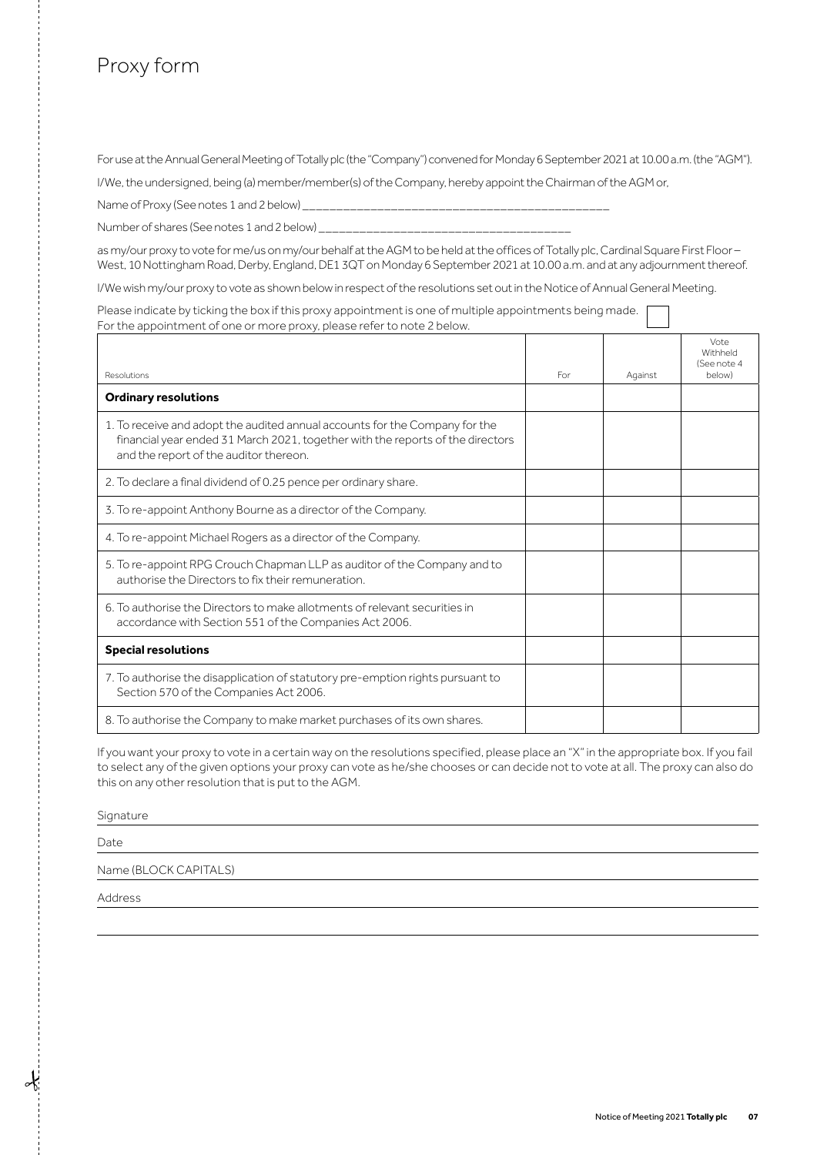# Proxy form

For use at the Annual General Meeting of Totally plc (the "Company") convened for Monday 6 September 2021 at 10.00 a.m. (the "AGM").

I/We, the undersigned, being (a) member/member(s) of the Company, hereby appoint the Chairman of the AGM or,

Name of Proxy (See notes 1 and 2 below)

Number of shares (See notes 1 and 2 below)

as my/our proxy to vote for me/us on my/our behalf at the AGM to be held at the offices of Totally plc. Cardinal Square First Floor – West, 10 Nottingham Road, Derby, England, DE1 3QT on Monday 6 September 2021 at 10.00 a.m. and at any adjournment thereof.

I/We wish my/our proxy to vote as shown below in respect of the resolutions set out in the Notice of Annual General Meeting.

Please indicate by ticking the box if this proxy appointment is one of multiple appointments being made. For the appointment of one or more proxy, please refer to note 2 below.

| Resolutions                                                                                                                                                                                             | For | Against | Vote<br>Withheld<br>(See note 4<br>below) |
|---------------------------------------------------------------------------------------------------------------------------------------------------------------------------------------------------------|-----|---------|-------------------------------------------|
| <b>Ordinary resolutions</b>                                                                                                                                                                             |     |         |                                           |
| 1. To receive and adopt the audited annual accounts for the Company for the<br>financial year ended 31 March 2021, together with the reports of the directors<br>and the report of the auditor thereon. |     |         |                                           |
| 2. To declare a final dividend of 0.25 pence per ordinary share.                                                                                                                                        |     |         |                                           |
| 3. To re-appoint Anthony Bourne as a director of the Company.                                                                                                                                           |     |         |                                           |
| 4. To re-appoint Michael Rogers as a director of the Company.                                                                                                                                           |     |         |                                           |
| 5. To re-appoint RPG Crouch Chapman LLP as auditor of the Company and to<br>authorise the Directors to fix their remuneration.                                                                          |     |         |                                           |
| 6. To authorise the Directors to make allotments of relevant securities in<br>accordance with Section 551 of the Companies Act 2006.                                                                    |     |         |                                           |
| <b>Special resolutions</b>                                                                                                                                                                              |     |         |                                           |
| 7. To authorise the disapplication of statutory pre-emption rights pursuant to<br>Section 570 of the Companies Act 2006.                                                                                |     |         |                                           |
| 8. To authorise the Company to make market purchases of its own shares.                                                                                                                                 |     |         |                                           |

If you want your proxy to vote in a certain way on the resolutions specified, please place an "X" in the appropriate box. If you fail to select any of the given options your proxy can vote as he/she chooses or can decide not to vote at all. The proxy can also do this on any other resolution that is put to the AGM.

Signature

Date

Name (BLOCK CAPITALS)

Address